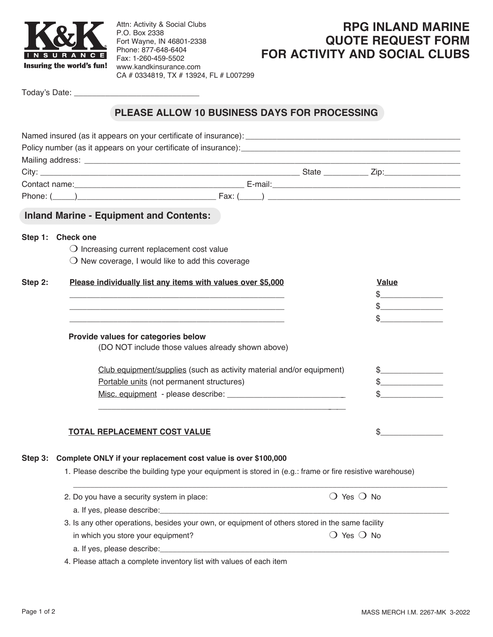

Attn: Activity & Social Clubs P.O. Box 2338 Fort Wayne, IN 46801-2338 Phone: 877-648-6404 Fax: 1-260-459-5502 www.kandkinsurance.com CA # 0334819, TX # 13924, FL # L007299

## **RPG INLAND MARINE QUOTE REQUEST FORM FOR ACTIVITY AND SOCIAL CLUBS**

Today's Date:

## **PLEASE ALLOW 10 BUSINESS DAYS FOR PROCESSING**

|         | <b>Inland Marine - Equipment and Contents:</b>                                                             |                              |               |  |  |
|---------|------------------------------------------------------------------------------------------------------------|------------------------------|---------------|--|--|
|         | Step 1: Check one                                                                                          |                              |               |  |  |
|         | $\bigcirc$ Increasing current replacement cost value                                                       |                              |               |  |  |
|         | $\bigcirc$ New coverage, I would like to add this coverage                                                 |                              |               |  |  |
|         | Please individually list any items with values over \$5,000                                                |                              | Value         |  |  |
| Step 2: |                                                                                                            |                              |               |  |  |
|         |                                                                                                            |                              |               |  |  |
|         |                                                                                                            |                              |               |  |  |
|         |                                                                                                            |                              |               |  |  |
|         | Provide values for categories below                                                                        |                              |               |  |  |
|         | (DO NOT include those values already shown above)                                                          |                              |               |  |  |
|         | Club equipment/supplies (such as activity material and/or equipment)                                       |                              | $\frac{1}{2}$ |  |  |
|         | Portable units (not permanent structures)                                                                  |                              | $\sim$ $\sim$ |  |  |
|         |                                                                                                            |                              |               |  |  |
|         |                                                                                                            |                              |               |  |  |
|         |                                                                                                            |                              |               |  |  |
|         | TOTAL REPLACEMENT COST VALUE                                                                               |                              | \$            |  |  |
|         |                                                                                                            |                              |               |  |  |
|         | Step 3: Complete ONLY if your replacement cost value is over \$100,000                                     |                              |               |  |  |
|         | 1. Please describe the building type your equipment is stored in (e.g.: frame or fire resistive warehouse) |                              |               |  |  |
|         | 2. Do you have a security system in place:                                                                 | $\bigcirc$ Yes $\bigcirc$ No |               |  |  |
|         |                                                                                                            |                              |               |  |  |
|         | 3. Is any other operations, besides your own, or equipment of others stored in the same facility           |                              |               |  |  |
|         | in which you store your equipment?                                                                         | $\bigcirc$ Yes $\bigcirc$ No |               |  |  |
|         |                                                                                                            |                              |               |  |  |
|         | 4. Please attach a complete inventory list with values of each item                                        |                              |               |  |  |
|         |                                                                                                            |                              |               |  |  |